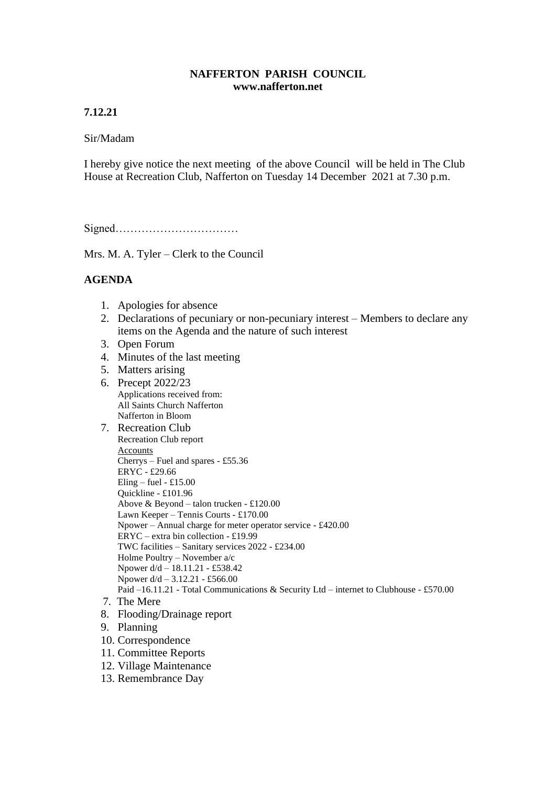## **NAFFERTON PARISH COUNCIL www.nafferton.net**

# **7.12.21**

## Sir/Madam

I hereby give notice the next meeting of the above Council will be held in The Club House at Recreation Club, Nafferton on Tuesday 14 December 2021 at 7.30 p.m.

Signed……………………………

Mrs. M. A. Tyler – Clerk to the Council

# **AGENDA**

- 1. Apologies for absence
- 2. Declarations of pecuniary or non-pecuniary interest Members to declare any items on the Agenda and the nature of such interest
- 3. Open Forum
- 4. Minutes of the last meeting
- 5. Matters arising
- 6. Precept 2022/23 Applications received from: All Saints Church Nafferton Nafferton in Bloom
- 7. Recreation Club Recreation Club report **Accounts** Cherrys – Fuel and spares - £55.36 ERYC - £29.66 Eling – fuel -  $£15.00$ Quickline - £101.96 Above & Beyond – talon trucken - £120.00 Lawn Keeper – Tennis Courts - £170.00 Npower – Annual charge for meter operator service - £420.00 ERYC – extra bin collection - £19.99 TWC facilities – Sanitary services 2022 - £234.00 Holme Poultry – November a/c Npower d/d – 18.11.21 - £538.42 Npower  $d/d - 3.12.21 - £566.00$ Paid –16.11.21 - Total Communications & Security Ltd – internet to Clubhouse - £570.00 7. The Mere
- 8. Flooding/Drainage report
- 9. Planning
- 10. Correspondence
- 11. Committee Reports
- 12. Village Maintenance
- 13. Remembrance Day